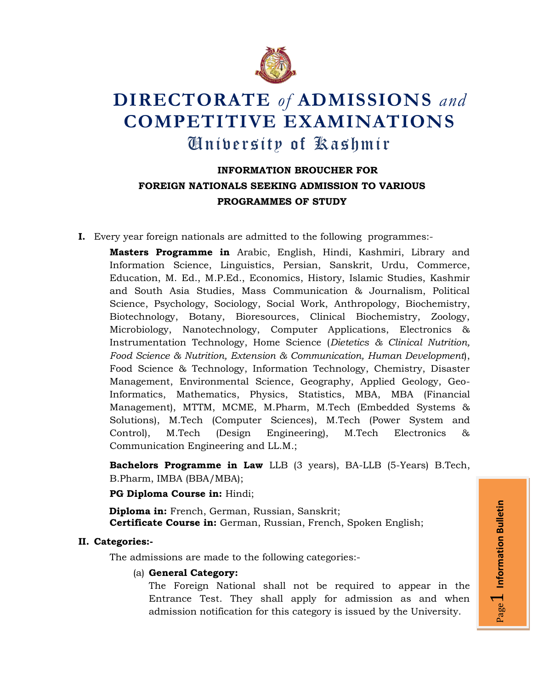

# **DIRECTORATE** *of* **ADMISSIONS** *and* **COMPETITIVE EXAMINATIONS** University of Kashmir

# **INFORMATION BROUCHER FOR FOREIGN NATIONALS SEEKING ADMISSION TO VARIOUS PROGRAMMES OF STUDY**

**I.** Every year foreign nationals are admitted to the following programmes:-

**Masters Programme in** Arabic, English, Hindi, Kashmiri, Library and Information Science, Linguistics, Persian, Sanskrit, Urdu, Commerce, Education, M. Ed., M.P.Ed., Economics, History, Islamic Studies, Kashmir and South Asia Studies, Mass Communication & Journalism, Political Science, Psychology, Sociology, Social Work, Anthropology, Biochemistry, Biotechnology, Botany, Bioresources, Clinical Biochemistry, Zoology, Microbiology, Nanotechnology, Computer Applications, Electronics & Instrumentation Technology, Home Science (*Dietetics & Clinical Nutrition, Food Science & Nutrition, Extension & Communication, Human Development*), Food Science & Technology, Information Technology, Chemistry, Disaster Management, Environmental Science, Geography, Applied Geology, Geo-Informatics, Mathematics, Physics, Statistics, MBA, MBA (Financial Management), MTTM, MCME, M.Pharm, M.Tech (Embedded Systems & Solutions), M.Tech (Computer Sciences), M.Tech (Power System and Control), M.Tech (Design Engineering), M.Tech Electronics & Communication Engineering and LL.M.;

**Bachelors Programme in Law** LLB (3 years), BA-LLB (5-Years) B.Tech, B.Pharm, IMBA (BBA/MBA);

**PG Diploma Course in:** Hindi;

**Diploma in:** French, German, Russian, Sanskrit; **Certificate Course in:** German, Russian, French, Spoken English;

## **II. Categories:-**

The admissions are made to the following categories:-

#### (a) **General Category:**

The Foreign National shall not be required to appear in the Entrance Test. They shall apply for admission as and when admission notification for this category is issued by the University.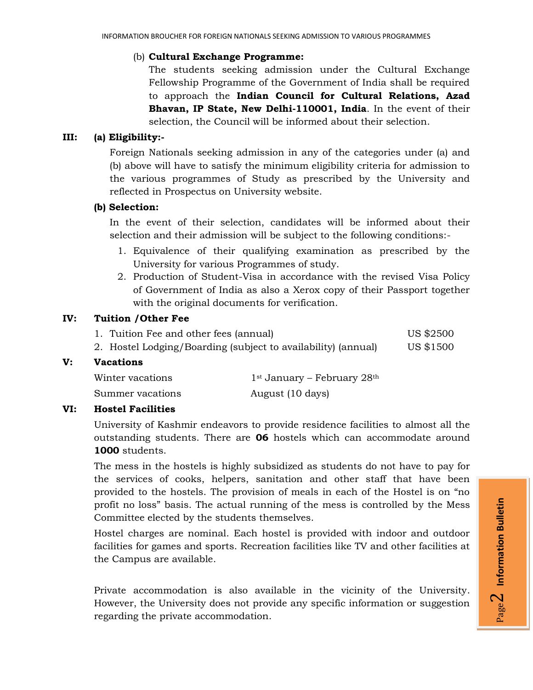## (b) **Cultural Exchange Programme:**

The students seeking admission under the Cultural Exchange Fellowship Programme of the Government of India shall be required to approach the **Indian Council for Cultural Relations, Azad Bhavan, IP State, New Delhi-110001, India**. In the event of their selection, the Council will be informed about their selection.

#### **III: (a) Eligibility:-**

Foreign Nationals seeking admission in any of the categories under (a) and (b) above will have to satisfy the minimum eligibility criteria for admission to the various programmes of Study as prescribed by the University and reflected in Prospectus on University website.

#### **(b) Selection:**

In the event of their selection, candidates will be informed about their selection and their admission will be subject to the following conditions:-

- 1. Equivalence of their qualifying examination as prescribed by the University for various Programmes of study.
- 2. Production of Student-Visa in accordance with the revised Visa Policy of Government of India as also a Xerox copy of their Passport together with the original documents for verification.

#### **IV: Tuition /Other Fee**

| 1. Tuition Fee and other fees (annual)                        | US \$2500 |
|---------------------------------------------------------------|-----------|
| 2. Hostel Lodging/Boarding (subject to availability) (annual) | US \$1500 |

#### **V: Vacations**

| Winter vacations | $1st$ January – February 28 <sup>th</sup> |
|------------------|-------------------------------------------|
| Summer vacations | August (10 days)                          |

#### **VI: Hostel Facilities**

University of Kashmir endeavors to provide residence facilities to almost all the outstanding students. There are **06** hostels which can accommodate around **1000** students.

The mess in the hostels is highly subsidized as students do not have to pay for the services of cooks, helpers, sanitation and other staff that have been provided to the hostels. The provision of meals in each of the Hostel is on "no profit no loss" basis. The actual running of the mess is controlled by the Mess Committee elected by the students themselves.

Hostel charges are nominal. Each hostel is provided with indoor and outdoor facilities for games and sports. Recreation facilities like TV and other facilities at the Campus are available.

Private accommodation is also available in the vicinity of the University. However, the University does not provide any specific information or suggestion regarding the private accommodation.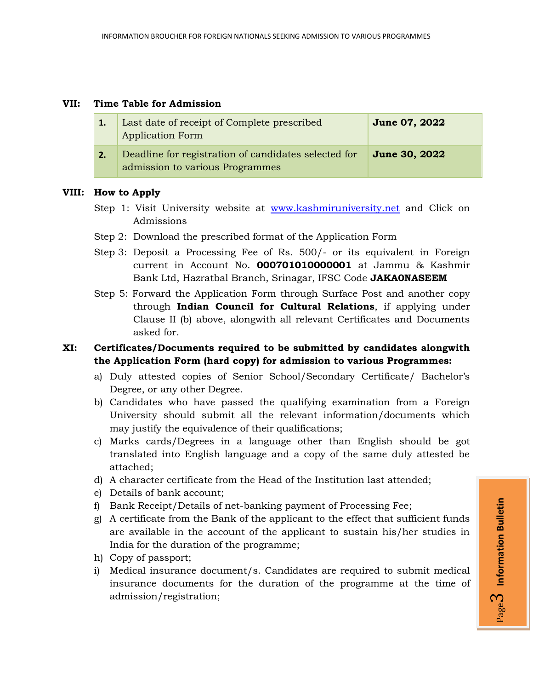#### **VII: Time Table for Admission**

| 1. | Last date of receipt of Complete prescribed<br><b>Application Form</b>                  | <b>June 07, 2022</b> |
|----|-----------------------------------------------------------------------------------------|----------------------|
| 2. | Deadline for registration of candidates selected for<br>admission to various Programmes | <b>June 30, 2022</b> |

#### **VIII: How to Apply**

- Step 1: Visit University website at [www.kashmiruniversity.net](http://www.kashmiruniversity.net/) and Click on Admissions
- Step 2: Download the prescribed format of the Application Form
- Step 3: Deposit a Processing Fee of Rs. 500/- or its equivalent in Foreign current in Account No. **000701010000001** at Jammu & Kashmir Bank Ltd, Hazratbal Branch, Srinagar, IFSC Code **JAKA0NASEEM**
- Step 5: Forward the Application Form through Surface Post and another copy through **Indian Council for Cultural Relations**, if applying under Clause II (b) above, alongwith all relevant Certificates and Documents asked for.

#### **XI: Certificates/Documents required to be submitted by candidates alongwith the Application Form (hard copy) for admission to various Programmes:**

- a) Duly attested copies of Senior School/Secondary Certificate/ Bachelor's Degree, or any other Degree.
- b) Candidates who have passed the qualifying examination from a Foreign University should submit all the relevant information/documents which may justify the equivalence of their qualifications;
- c) Marks cards/Degrees in a language other than English should be got translated into English language and a copy of the same duly attested be attached;
- d) A character certificate from the Head of the Institution last attended;
- e) Details of bank account;
- f) Bank Receipt/Details of net-banking payment of Processing Fee;
- g) A certificate from the Bank of the applicant to the effect that sufficient funds are available in the account of the applicant to sustain his/her studies in India for the duration of the programme;
- h) Copy of passport;
- i) Medical insurance document/s. Candidates are required to submit medical insurance documents for the duration of the programme at the time of admission/registration;